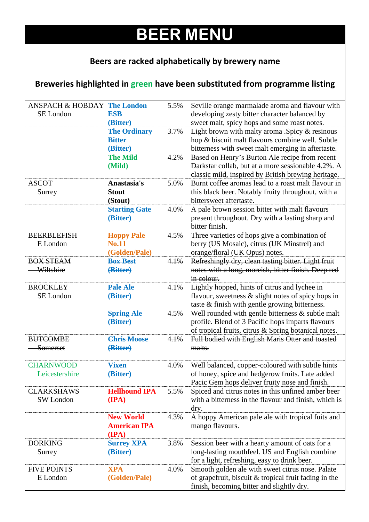## **BEER MENU**

## **Beers are racked alphabetically by brewery name**

## **Breweries highlighted in green have been substituted from programme listing**

| <b>ANSPACH &amp; HOBDAY The London</b> |                      | 5.5% | Seville orange marmalade aroma and flavour with                      |
|----------------------------------------|----------------------|------|----------------------------------------------------------------------|
| SE London                              | <b>ESB</b>           |      | developing zesty bitter character balanced by                        |
|                                        | (Bitter)             |      | sweet malt, spicy hops and some roast notes.                         |
|                                        | <b>The Ordinary</b>  | 3.7% | Light brown with malty aroma .Spicy & resinous                       |
|                                        | <b>Bitter</b>        |      | hop & biscuit malt flavours combine well. Subtle                     |
|                                        | (Bitter)             |      | bitterness with sweet malt emerging in aftertaste.                   |
|                                        | <b>The Mild</b>      | 4.2% | Based on Henry's Burton Ale recipe from recent                       |
|                                        | (Mild)               |      | Darkstar collab, but at a more sessionable 4.2%. A                   |
|                                        |                      |      | classic mild, inspired by British brewing heritage.                  |
| <b>ASCOT</b>                           | Anastasia's          | 5.0% | Burnt coffee aromas lead to a roast malt flavour in                  |
| Surrey                                 | <b>Stout</b>         |      | this black beer. Notably fruity throughout, with a                   |
|                                        | (Stout)              |      | bittersweet aftertaste.                                              |
|                                        | <b>Starting Gate</b> | 4.0% | A pale brown session bitter with malt flavours                       |
|                                        | (Bitter)             |      | present throughout. Dry with a lasting sharp and                     |
|                                        |                      |      | bitter finish.                                                       |
| <b>BEERBLEFISH</b>                     | <b>Hoppy Pale</b>    | 4.5% | Three varieties of hops give a combination of                        |
| E London                               | <b>No.11</b>         |      | berry (US Mosaic), citrus (UK Minstrel) and                          |
|                                        | (Golden/Pale)        |      | orange/floral (UK Opus) notes.                                       |
| <b>BOX STEAM</b>                       | <b>Box Best</b>      | 4.1% | Refreshingly dry, clean tasting bitter. Light fruit                  |
| Wiltshire                              | (Bitter)             |      | notes with a long, moreish, bitter finish. Deep red                  |
|                                        |                      |      | in colour.                                                           |
| <b>BROCKLEY</b>                        | <b>Pale Ale</b>      | 4.1% | Lightly hopped, hints of citrus and lychee in                        |
| SE London                              | (Bitter)             |      | flavour, sweetness & slight notes of spicy hops in                   |
|                                        |                      |      | taste & finish with gentle growing bitterness.                       |
|                                        | <b>Spring Ale</b>    | 4.5% | Well rounded with gentle bitterness $\&$ subtle malt                 |
|                                        | (Bitter)             |      | profile. Blend of 3 Pacific hops imparts flavours                    |
|                                        |                      |      | of tropical fruits, citrus & Spring botanical notes.                 |
| <b>BUTCOMBE</b>                        | <b>Chris Moose</b>   | 4.1% | Full bodied with English Maris Otter and toasted                     |
| Somerset                               | (Bitter)             |      | malts.                                                               |
|                                        |                      |      |                                                                      |
| <b>CHARNWOOD</b><br>Leicestershire     | <b>Vixen</b>         | 4.0% | Well balanced, copper-coloured with subtle hints                     |
|                                        | (Bitter)             |      | of honey, spice and hedgerow fruits. Late added                      |
|                                        |                      |      | Pacic Gem hops deliver fruity nose and finish.                       |
| <b>CLARKSHAWS</b>                      | <b>Hellhound IPA</b> | 5.5% | Spiced and citrus notes in this unfined amber beer                   |
| SW London                              | $(\mathbf{IPA})$     |      | with a bitterness in the flavour and finish, which is                |
|                                        | <b>New World</b>     | 4.3% | dry.                                                                 |
|                                        | <b>American IPA</b>  |      | A hoppy American pale ale with tropical fuits and<br>mango flavours. |
|                                        | $(\mathbf{IPA})$     |      |                                                                      |
| <b>DORKING</b>                         | <b>Surrey XPA</b>    | 3.8% | Session beer with a hearty amount of oats for a                      |
| Surrey                                 | (Bitter)             |      | long-lasting mouthfeel. US and English combine                       |
|                                        |                      |      | for a light, refreshing, easy to drink beer.                         |
| <b>FIVE POINTS</b>                     | <b>XPA</b>           | 4.0% | Smooth golden ale with sweet citrus nose. Palate                     |
| E London                               | (Golden/Pale)        |      | of grapefruit, biscuit $&$ tropical fruit fading in the              |
|                                        |                      |      | finish, becoming bitter and slightly dry.                            |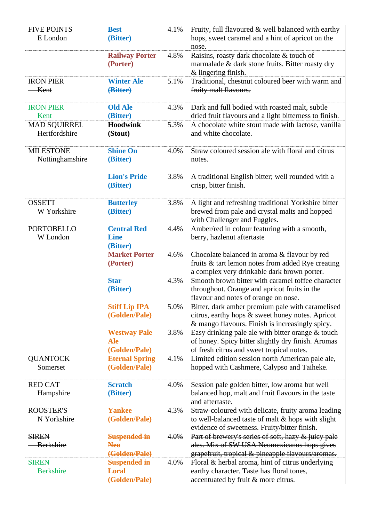| <b>FIVE POINTS</b>                  | <b>Best</b>                                        | 4.1% | Fruity, full flavoured & well balanced with earthy                                                                                                      |
|-------------------------------------|----------------------------------------------------|------|---------------------------------------------------------------------------------------------------------------------------------------------------------|
| E London                            | (Bitter)                                           |      | hops, sweet caramel and a hint of apricot on the<br>nose.                                                                                               |
|                                     | <b>Railway Porter</b><br>(Porter)                  | 4.8% | Raisins, roasty dark chocolate & touch of<br>marmalade & dark stone fruits. Bitter roasty dry<br>& lingering finish.                                    |
| <b>IRON PIER</b><br>Kent            | Winter Ale<br>(Bitter)                             | 5.1% | Traditional, chestnut coloured beer with warm and<br>fruity malt flavours.                                                                              |
| <b>IRON PIER</b>                    | <b>Old Ale</b>                                     | 4.3% | Dark and full bodied with roasted malt, subtle                                                                                                          |
| Kent<br><b>MAD SQUIRREL</b>         | (Bitter)<br><b>Hoodwink</b>                        | 5.3% | dried fruit flavours and a light bitterness to finish.<br>A chocolate white stout made with lactose, vanilla                                            |
| Hertfordshire                       | (Stout)                                            |      | and white chocolate.                                                                                                                                    |
| <b>MILESTONE</b><br>Nottinghamshire | <b>Shine On</b><br>(Bitter)                        | 4.0% | Straw coloured session ale with floral and citrus<br>notes.                                                                                             |
|                                     | <b>Lion's Pride</b><br>(Bitter)                    | 3.8% | A traditional English bitter; well rounded with a<br>crisp, bitter finish.                                                                              |
| <b>OSSETT</b><br>W Yorkshire        | <b>Butterley</b><br>(Bitter)                       | 3.8% | A light and refreshing traditional Yorkshire bitter<br>brewed from pale and crystal malts and hopped<br>with Challenger and Fuggles.                    |
| <b>PORTOBELLO</b><br>W London       | <b>Central Red</b><br><b>Line</b><br>(Bitter)      | 4.4% | Amber/red in colour featuring with a smooth,<br>berry, hazlenut aftertaste                                                                              |
|                                     | <b>Market Porter</b><br>(Porter)                   | 4.6% | Chocolate balanced in aroma & flavour by red<br>fruits & tart lemon notes from added Rye creating<br>a complex very drinkable dark brown porter.        |
|                                     | <b>Star</b><br>(Bitter)                            | 4.3% | Smooth brown bitter with caramel toffee character<br>throughout. Orange and apricot fruits in the<br>flavour and notes of orange on nose.               |
|                                     | <b>Stiff Lip IPA</b><br>(Golden/Pale)              | 5.0% | Bitter, dark amber premium pale with caramelised<br>citrus, earthy hops & sweet honey notes. Apricot<br>& mango flavours. Finish is increasingly spicy. |
|                                     | <b>Westway Pale</b><br><b>Ale</b><br>(Golden/Pale) | 3.8% | Easy drinking pale ale with bitter orange $&$ touch<br>of honey. Spicy bitter slightly dry finish. Aromas<br>of fresh citrus and sweet tropical notes.  |
| <b>QUANTOCK</b><br>Somerset         | <b>Eternal Spring</b><br>(Golden/Pale)             | 4.1% | Limited edition session north American pale ale,<br>hopped with Cashmere, Calypso and Taiheke.                                                          |
| <b>RED CAT</b><br>Hampshire         | <b>Scratch</b><br>(Bitter)                         | 4.0% | Session pale golden bitter, low aroma but well<br>balanced hop, malt and fruit flavours in the taste<br>and aftertaste.                                 |
| <b>ROOSTER'S</b><br>N Yorkshire     | <b>Yankee</b><br>(Golden/Pale)                     | 4.3% | Straw-coloured with delicate, fruity aroma leading<br>to well-balanced taste of malt & hops with slight<br>evidence of sweetness. Fruity/bitter finish. |
| <b>SIREN</b>                        | <b>Suspended in</b>                                | 4.0% | Part of brewery's series of soft, hazy & juicy pale                                                                                                     |
| <b>Berkshire</b>                    | <b>Neo</b>                                         |      | ales. Mix of SW USA Neomexicanus hops gives                                                                                                             |
|                                     | (Golden/Pale)                                      |      | grapefruit, tropical & pineapple flavours/aromas.                                                                                                       |
| <b>SIREN</b>                        | <b>Suspended in</b>                                | 4.0% | Floral & herbal aroma, hint of citrus underlying                                                                                                        |
| <b>Berkshire</b>                    | <b>Loral</b><br>(Golden/Pale)                      |      | earthy character. Taste has floral tones,<br>accentuated by fruit & more citrus.                                                                        |
|                                     |                                                    |      |                                                                                                                                                         |